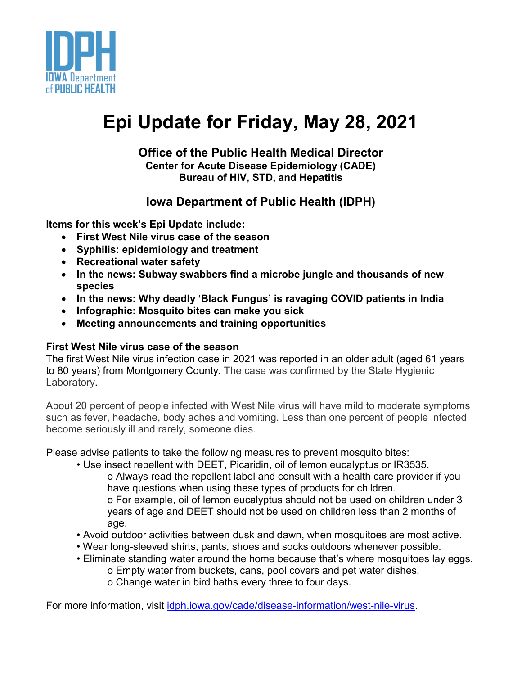

# **Epi Update for Friday, May 28, 2021**

## **Office of the Public Health Medical Director Center for Acute Disease Epidemiology (CADE) Bureau of HIV, STD, and Hepatitis**

## **Iowa Department of Public Health (IDPH)**

**Items for this week's Epi Update include:**

- **First West Nile virus case of the season**
- **Syphilis: epidemiology and treatment**
- **Recreational water safety**
- **In the news: Subway swabbers find a microbe jungle and thousands of new species**
- **In the news: Why deadly 'Black Fungus' is ravaging COVID patients in India**
- **Infographic: Mosquito bites can make you sick**
- **Meeting announcements and training opportunities**

## **First West Nile virus case of the season**

The first West Nile virus infection case in 2021 was reported in an older adult (aged 61 years to 80 years) from Montgomery County. The case was confirmed by the State Hygienic Laboratory.

About 20 percent of people infected with West Nile virus will have mild to moderate symptoms such as fever, headache, body aches and vomiting. Less than one percent of people infected become seriously ill and rarely, someone dies.

Please advise patients to take the following measures to prevent mosquito bites:

- Use insect repellent with DEET, Picaridin, oil of lemon eucalyptus or IR3535. o Always read the repellent label and consult with a health care provider if you have questions when using these types of products for children. o For example, oil of lemon eucalyptus should not be used on children under 3 years of age and DEET should not be used on children less than 2 months of age.
- Avoid outdoor activities between dusk and dawn, when mosquitoes are most active.
- Wear long-sleeved shirts, pants, shoes and socks outdoors whenever possible.
- Eliminate standing water around the home because that's where mosquitoes lay eggs. o Empty water from buckets, cans, pool covers and pet water dishes. o Change water in bird baths every three to four days.

For more information, visit [idph.iowa.gov/cade/disease-information/west-nile-virus.](https://idph.iowa.gov/cade/disease-information/west-nile-virus)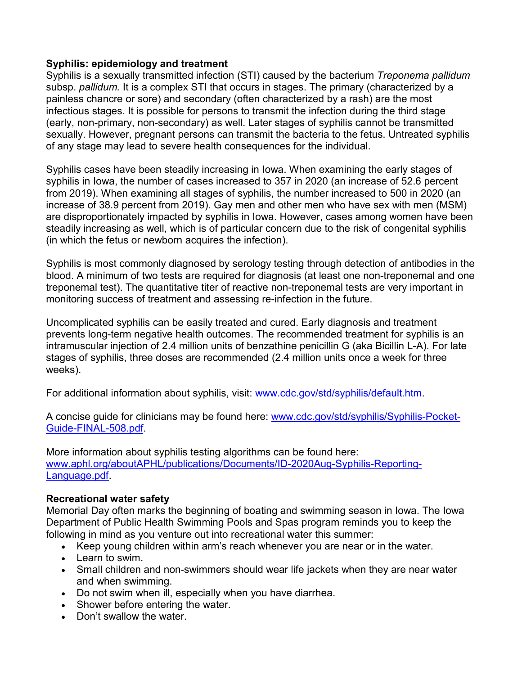#### **Syphilis: epidemiology and treatment**

Syphilis is a sexually transmitted infection (STI) caused by the bacterium *Treponema pallidum*  subsp. *pallidum.* It is a complex STI that occurs in stages. The primary (characterized by a painless chancre or sore) and secondary (often characterized by a rash) are the most infectious stages. It is possible for persons to transmit the infection during the third stage (early, non-primary, non-secondary) as well. Later stages of syphilis cannot be transmitted sexually. However, pregnant persons can transmit the bacteria to the fetus. Untreated syphilis of any stage may lead to severe health consequences for the individual.

Syphilis cases have been steadily increasing in Iowa. When examining the early stages of syphilis in Iowa, the number of cases increased to 357 in 2020 (an increase of 52.6 percent from 2019). When examining all stages of syphilis, the number increased to 500 in 2020 (an increase of 38.9 percent from 2019). Gay men and other men who have sex with men (MSM) are disproportionately impacted by syphilis in Iowa. However, cases among women have been steadily increasing as well, which is of particular concern due to the risk of congenital syphilis (in which the fetus or newborn acquires the infection).

Syphilis is most commonly diagnosed by serology testing through detection of antibodies in the blood. A minimum of two tests are required for diagnosis (at least one non-treponemal and one treponemal test). The quantitative titer of reactive non-treponemal tests are very important in monitoring success of treatment and assessing re-infection in the future.

Uncomplicated syphilis can be easily treated and cured. Early diagnosis and treatment prevents long-term negative health outcomes. The recommended treatment for syphilis is an intramuscular injection of 2.4 million units of benzathine penicillin G (aka Bicillin L-A). For late stages of syphilis, three doses are recommended (2.4 million units once a week for three weeks).

For additional information about syphilis, visit: [www.cdc.gov/std/syphilis/default.htm.](http://www.cdc.gov/std/syphilis/default.htm)

A concise guide for clinicians may be found here: [www.cdc.gov/std/syphilis/Syphilis-Pocket-](http://www.cdc.gov/std/syphilis/Syphilis-Pocket-Guide-FINAL-508.pdf)[Guide-FINAL-508.pdf.](http://www.cdc.gov/std/syphilis/Syphilis-Pocket-Guide-FINAL-508.pdf)

More information about syphilis testing algorithms can be found here: [www.aphl.org/aboutAPHL/publications/Documents/ID-2020Aug-Syphilis-Reporting-](http://www.aphl.org/aboutAPHL/publications/Documents/ID-2020Aug-Syphilis-Reporting-Language.pdf)[Language.pdf.](http://www.aphl.org/aboutAPHL/publications/Documents/ID-2020Aug-Syphilis-Reporting-Language.pdf)

#### **Recreational water safety**

Memorial Day often marks the beginning of boating and swimming season in Iowa. The Iowa Department of Public Health Swimming Pools and Spas program reminds you to keep the following in mind as you venture out into recreational water this summer:

- Keep young children within arm's reach whenever you are near or in the water.
- Learn to swim.
- Small children and non-swimmers should wear life jackets when they are near water and when swimming.
- Do not swim when ill, especially when you have diarrhea.
- Shower before entering the water.
- Don't swallow the water.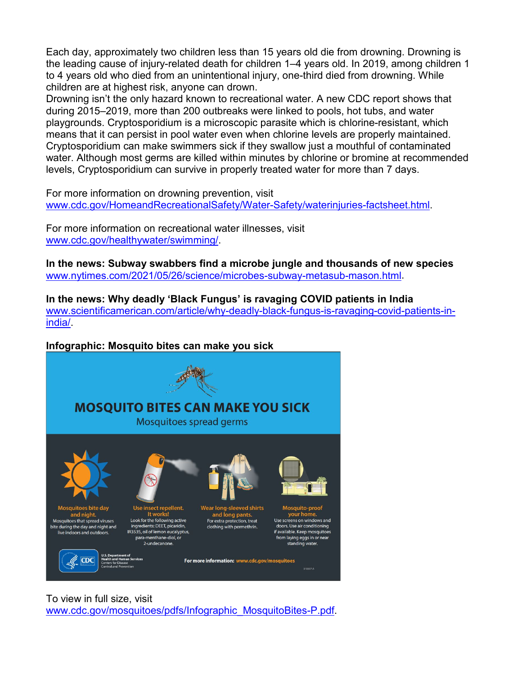Each day, approximately two children less than 15 years old die from drowning. Drowning is the leading cause of injury-related death for children 1–4 years old. In 2019, among children 1 to 4 years old who died from an unintentional injury, one-third died from drowning. While children are at highest risk, anyone can drown.

Drowning isn't the only hazard known to recreational water. A new CDC report shows that during 2015–2019, more than 200 outbreaks were linked to pools, hot tubs, and water playgrounds. Cryptosporidium is a microscopic parasite which is chlorine-resistant, which means that it can persist in pool water even when chlorine levels are properly maintained. Cryptosporidium can make swimmers sick if they swallow just a mouthful of contaminated water. Although most germs are killed within minutes by chlorine or bromine at recommended levels, Cryptosporidium can survive in properly treated water for more than 7 days.

For more information on drowning prevention, visit [www.cdc.gov/HomeandRecreationalSafety/Water-Safety/waterinjuries-factsheet.html.](http://www.cdc.gov/HomeandRecreationalSafety/Water-Safety/waterinjuries-factsheet.html)

For more information on recreational water illnesses, visit [www.cdc.gov/healthywater/swimming/.](http://www.cdc.gov/healthywater/swimming/)

**In the news: Subway swabbers find a microbe jungle and thousands of new species** [www.nytimes.com/2021/05/26/science/microbes-subway-metasub-mason.html.](http://www.nytimes.com/2021/05/26/science/microbes-subway-metasub-mason.html)

**In the news: Why deadly 'Black Fungus' is ravaging COVID patients in India** [www.scientificamerican.com/article/why-deadly-black-fungus-is-ravaging-covid-patients-in](http://www.scientificamerican.com/article/why-deadly-black-fungus-is-ravaging-covid-patients-in-india/)[india/.](http://www.scientificamerican.com/article/why-deadly-black-fungus-is-ravaging-covid-patients-in-india/)

#### **Infographic: [Mosquito bites can make you sick](https://www.cdc.gov/mosquitoes/pdfs/Infographic_MosquitoBites-P.pdf)**



To view in full size, visit [www.cdc.gov/mosquitoes/pdfs/Infographic\\_MosquitoBites-P.pdf.](http://www.cdc.gov/mosquitoes/pdfs/Infographic_MosquitoBites-P.pdf)